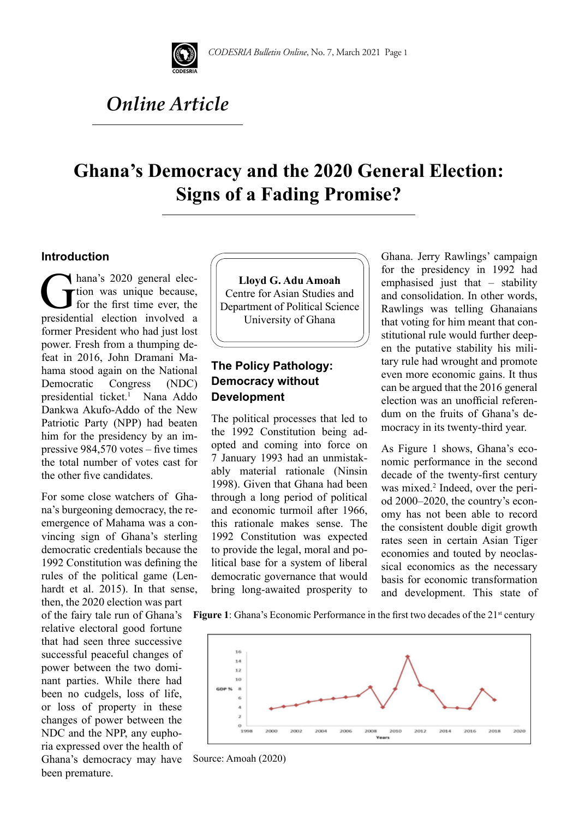

# *Online Article*

## **Ghana's Democracy and the 2020 General Election: Signs of a Fading Promise?**

#### **Introduction**

hana's 2020 general election was unique because,<br>for the first time ever, the<br>presidential election involved a tion was unique because, for the first time ever, the presidential election involved a former President who had just lost power. Fresh from a thumping defeat in 2016, John Dramani Mahama stood again on the National Democratic Congress (NDC) presidential ticket.<sup>1</sup> Nana Addo Dankwa Akufo-Addo of the New Patriotic Party (NPP) had beaten him for the presidency by an impressive 984,570 votes – five times the total number of votes cast for the other five candidates.

For some close watchers of Ghana's burgeoning democracy, the reemergence of Mahama was a convincing sign of Ghana's sterling democratic credentials because the 1992 Constitution was defining the rules of the political game (Lenhardt et al. 2015). In that sense,

then, the 2020 election was part of the fairy tale run of Ghana's relative electoral good fortune that had seen three successive successful peaceful changes of power between the two dominant parties. While there had been no cudgels, loss of life, or loss of property in these changes of power between the NDC and the NPP, any euphoria expressed over the health of Ghana's democracy may have been premature.



## **The Policy Pathology: Democracy without Development**

The political processes that led to the 1992 Constitution being adopted and coming into force on 7 January 1993 had an unmistakably material rationale (Ninsin 1998). Given that Ghana had been through a long period of political and economic turmoil after 1966, this rationale makes sense. The 1992 Constitution was expected to provide the legal, moral and political base for a system of liberal democratic governance that would bring long-awaited prosperity to Ghana. Jerry Rawlings' campaign for the presidency in 1992 had emphasised just that – stability and consolidation. In other words, Rawlings was telling Ghanaians that voting for him meant that constitutional rule would further deepen the putative stability his military rule had wrought and promote even more economic gains. It thus can be argued that the 2016 general election was an unofficial referendum on the fruits of Ghana's democracy in its twenty-third year.

As Figure 1 shows, Ghana's economic performance in the second decade of the twenty-first century was mixed.<sup>2</sup> Indeed, over the period 2000–2020, the country's economy has not been able to record the consistent double digit growth rates seen in certain Asian Tiger economies and touted by neoclassical economics as the necessary basis for economic transformation and development. This state of

**Figure 1**: Ghana's Economic Performance in the first two decades of the 21<sup>st</sup> century



Source: Amoah (2020)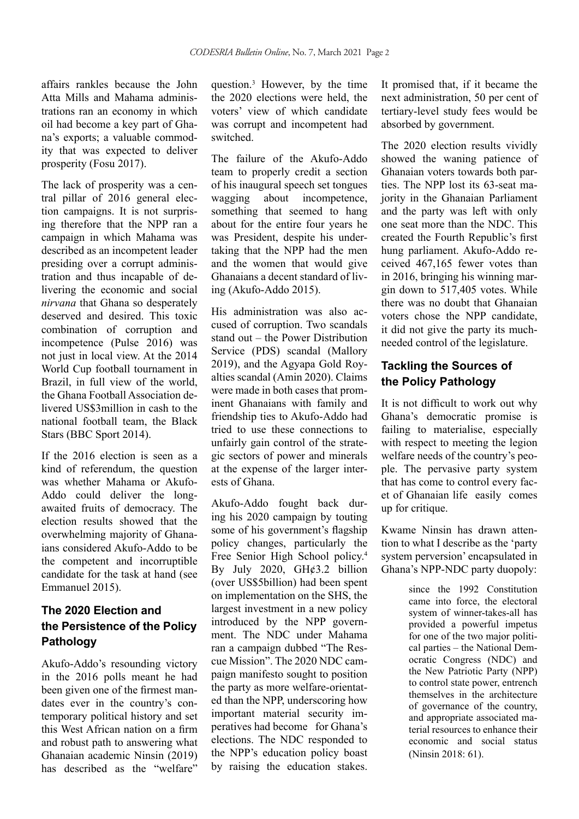affairs rankles because the John Atta Mills and Mahama administrations ran an economy in which oil had become a key part of Ghana's exports; a valuable commodity that was expected to deliver prosperity (Fosu 2017).

The lack of prosperity was a central pillar of 2016 general election campaigns. It is not surprising therefore that the NPP ran a campaign in which Mahama was described as an incompetent leader presiding over a corrupt administration and thus incapable of delivering the economic and social *nirvana* that Ghana so desperately deserved and desired. This toxic combination of corruption and incompetence (Pulse 2016) was not just in local view. At the 2014 World Cup football tournament in Brazil, in full view of the world, the Ghana Football Association delivered US\$3million in cash to the national football team, the Black Stars (BBC Sport 2014).

If the 2016 election is seen as a kind of referendum, the question was whether Mahama or Akufo-Addo could deliver the longawaited fruits of democracy. The election results showed that the overwhelming majority of Ghanaians considered Akufo-Addo to be the competent and incorruptible candidate for the task at hand (see Emmanuel 2015).

## **The 2020 Election and the Persistence of the Policy Pathology**

Akufo-Addo's resounding victory in the 2016 polls meant he had been given one of the firmest mandates ever in the country's contemporary political history and set this West African nation on a firm and robust path to answering what Ghanaian academic Ninsin (2019) has described as the "welfare"

question.3 However, by the time the 2020 elections were held, the voters' view of which candidate was corrupt and incompetent had switched.

The failure of the Akufo-Addo team to properly credit a section of his inaugural speech set tongues wagging about incompetence, something that seemed to hang about for the entire four years he was President, despite his undertaking that the NPP had the men and the women that would give Ghanaians a decent standard of living (Akufo-Addo 2015).

His administration was also accused of corruption. Two scandals stand out – the Power Distribution Service (PDS) scandal (Mallory 2019), and the Agyapa Gold Royalties scandal (Amin 2020). Claims were made in both cases that prominent Ghanaians with family and friendship ties to Akufo-Addo had tried to use these connections to unfairly gain control of the strategic sectors of power and minerals at the expense of the larger interests of Ghana.

Akufo-Addo fought back during his 2020 campaign by touting some of his government's flagship policy changes, particularly the Free Senior High School policy.4 By July 2020, GH¢3.2 billion (over US\$5billion) had been spent on implementation on the SHS, the largest investment in a new policy introduced by the NPP government. The NDC under Mahama ran a campaign dubbed "The Rescue Mission". The 2020 NDC campaign manifesto sought to position the party as more welfare-orientated than the NPP, underscoring how important material security imperatives had become for Ghana's elections. The NDC responded to the NPP's education policy boast by raising the education stakes. It promised that, if it became the next administration, 50 per cent of tertiary-level study fees would be absorbed by government.

The 2020 election results vividly showed the waning patience of Ghanaian voters towards both parties. The NPP lost its 63-seat majority in the Ghanaian Parliament and the party was left with only one seat more than the NDC. This created the Fourth Republic's first hung parliament. Akufo-Addo received 467,165 fewer votes than in 2016, bringing his winning margin down to 517,405 votes. While there was no doubt that Ghanaian voters chose the NPP candidate, it did not give the party its muchneeded control of the legislature.

### **Tackling the Sources of the Policy Pathology**

It is not difficult to work out why Ghana's democratic promise is failing to materialise, especially with respect to meeting the legion welfare needs of the country's people. The pervasive party system that has come to control every facet of Ghanaian life easily comes up for critique.

Kwame Ninsin has drawn attention to what I describe as the 'party system perversion' encapsulated in Ghana's NPP-NDC party duopoly:

> since the 1992 Constitution came into force, the electoral system of winner-takes-all has provided a powerful impetus for one of the two major political parties – the National Democratic Congress (NDC) and the New Patriotic Party (NPP) to control state power, entrench themselves in the architecture of governance of the country, and appropriate associated material resources to enhance their economic and social status (Ninsin 2018: 61).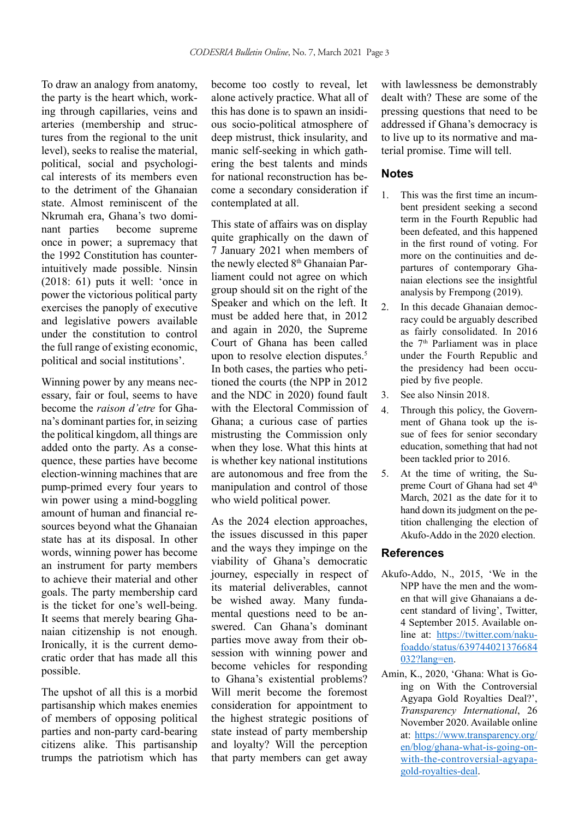To draw an analogy from anatomy, the party is the heart which, working through capillaries, veins and arteries (membership and structures from the regional to the unit level), seeks to realise the material, political, social and psychological interests of its members even to the detriment of the Ghanaian state. Almost reminiscent of the Nkrumah era, Ghana's two dominant parties become supreme once in power; a supremacy that the 1992 Constitution has counterintuitively made possible. Ninsin (2018: 61) puts it well: 'once in power the victorious political party exercises the panoply of executive and legislative powers available under the constitution to control the full range of existing economic, political and social institutions'.

Winning power by any means necessary, fair or foul, seems to have become the *raison d'etre* for Ghana's dominant parties for, in seizing the political kingdom, all things are added onto the party. As a consequence, these parties have become election-winning machines that are pump-primed every four years to win power using a mind-boggling amount of human and financial resources beyond what the Ghanaian state has at its disposal. In other words, winning power has become an instrument for party members to achieve their material and other goals. The party membership card is the ticket for one's well-being. It seems that merely bearing Ghanaian citizenship is not enough. Ironically, it is the current democratic order that has made all this possible.

The upshot of all this is a morbid partisanship which makes enemies of members of opposing political parties and non-party card-bearing citizens alike. This partisanship trumps the patriotism which has become too costly to reveal, let alone actively practice. What all of this has done is to spawn an insidious socio-political atmosphere of deep mistrust, thick insularity, and manic self-seeking in which gathering the best talents and minds for national reconstruction has become a secondary consideration if contemplated at all.

This state of affairs was on display quite graphically on the dawn of 7 January 2021 when members of the newly elected 8<sup>th</sup> Ghanaian Parliament could not agree on which group should sit on the right of the Speaker and which on the left. It must be added here that, in 2012 and again in 2020, the Supreme Court of Ghana has been called upon to resolve election disputes.<sup>5</sup> In both cases, the parties who petitioned the courts (the NPP in 2012 and the NDC in 2020) found fault with the Electoral Commission of Ghana; a curious case of parties mistrusting the Commission only when they lose. What this hints at is whether key national institutions are autonomous and free from the manipulation and control of those who wield political power.

As the 2024 election approaches, the issues discussed in this paper and the ways they impinge on the viability of Ghana's democratic journey, especially in respect of its material deliverables, cannot be wished away. Many fundamental questions need to be answered. Can Ghana's dominant parties move away from their obsession with winning power and become vehicles for responding to Ghana's existential problems? Will merit become the foremost consideration for appointment to the highest strategic positions of state instead of party membership and loyalty? Will the perception that party members can get away

with lawlessness be demonstrably dealt with? These are some of the pressing questions that need to be addressed if Ghana's democracy is to live up to its normative and material promise. Time will tell.

#### **Notes**

- 1. This was the first time an incumbent president seeking a second term in the Fourth Republic had been defeated, and this happened in the first round of voting. For more on the continuities and departures of contemporary Ghanaian elections see the insightful analysis by Frempong (2019).
- 2. In this decade Ghanaian democracy could be arguably described as fairly consolidated. In 2016 the 7<sup>th</sup> Parliament was in place under the Fourth Republic and the presidency had been occupied by five people.
- 3. See also Ninsin 2018.
- 4. Through this policy, the Government of Ghana took up the issue of fees for senior secondary education, something that had not been tackled prior to 2016.
- 5. At the time of writing, the Supreme Court of Ghana had set 4<sup>th</sup> March, 2021 as the date for it to hand down its judgment on the petition challenging the election of Akufo-Addo in the 2020 election.

#### **References**

- Akufo-Addo, N., 2015, 'We in the NPP have the men and the women that will give Ghanaians a decent standard of living', Twitter, 4 September 2015. Available online at: https://twitter.com/nakufoaddo/status/639744021376684 032?lang=en.
- Amin, K., 2020, 'Ghana: What is Going on With the Controversial Agyapa Gold Royalties Deal?', *Transparency International*, 26 November 2020. Available online at: https://www.transparency.org/ en/blog/ghana-what-is-going-onwith-the-controversial-agyapagold-royalties-deal.